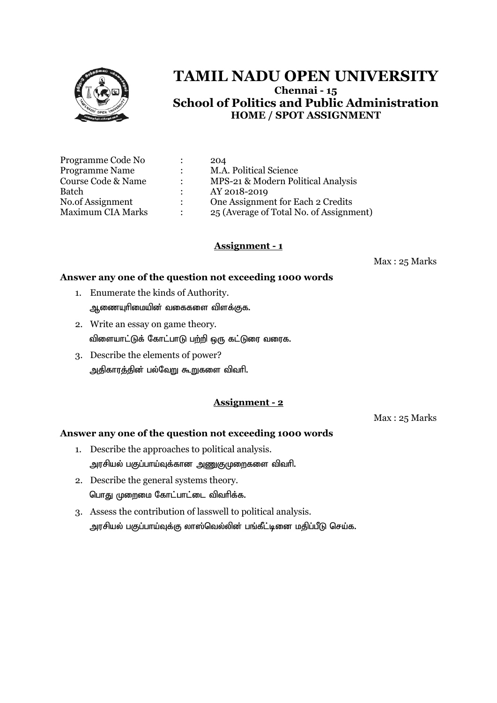

| Programme Code No        |                           | 204                                     |
|--------------------------|---------------------------|-----------------------------------------|
| <b>Programme Name</b>    |                           | M.A. Political Science                  |
| Course Code & Name       | $\mathbb{R}^{\mathbb{Z}}$ | MPS-21 & Modern Political Analysis      |
| Batch                    |                           | AY 2018-2019                            |
| No.of Assignment         |                           | One Assignment for Each 2 Credits       |
| <b>Maximum CIA Marks</b> |                           | 25 (Average of Total No. of Assignment) |

## **Assignment - 1**

Max : 25 Marks

#### **Answer any one of the question not exceeding 1000 words**

- 1. Enumerate the kinds of Authority. ஆணையுரிமையின் வகைகளை விளக்குக.
- 2. Write an essay on game theory. விளையாட்டுக் கோட்பாடு பற்றி ஒரு கட்டுரை வரைக.
- 3. Describe the elements of power? அதிகாரத்தின் பல்வேறு கூறுகளை விவரி.

## **Assignment - 2**

Max : 25 Marks

- 1. Describe the approaches to political analysis. அரசியல் பகுப்பாய்வுக்கான அணுகுமுறைகளை விவரி.
- 2. Describe the general systems theory. பொது முறைமை கோட்பாட்டை விவரிக்க.
- 3. Assess the contribution of lasswell to political analysis. அரசியல் பகுப்பாய்வுக்கு லாஸ்வெல்லின் பங்கீட்டினை மதிப்பீடு செய்க.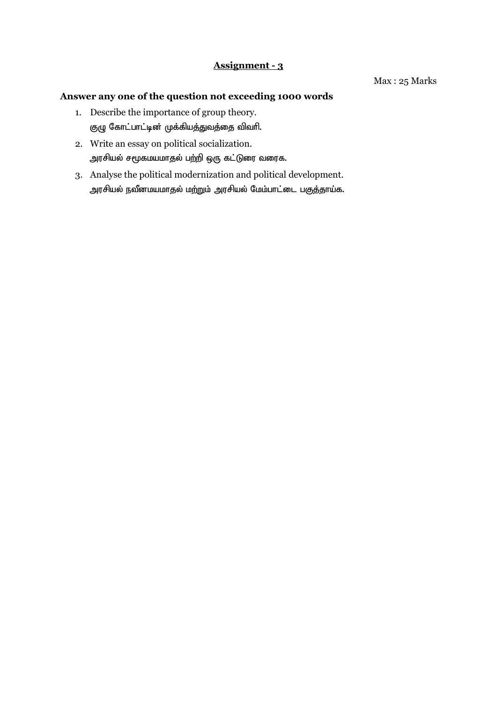- 1. Describe the importance of group theory. குழு கோட்பாட்டின் முக்கியத்துவத்தை விவரி.
- 2. Write an essay on political socialization. அரசியல் சமூகமயமாதல் பற்றி ஒரு கட்டுரை வரைக.
- 3. Analyse the political modernization and political development. அரசியல் நவீனமயமாதல் மற்றும் அரசியல் மேம்பாட்டை பகுத்தாய்க.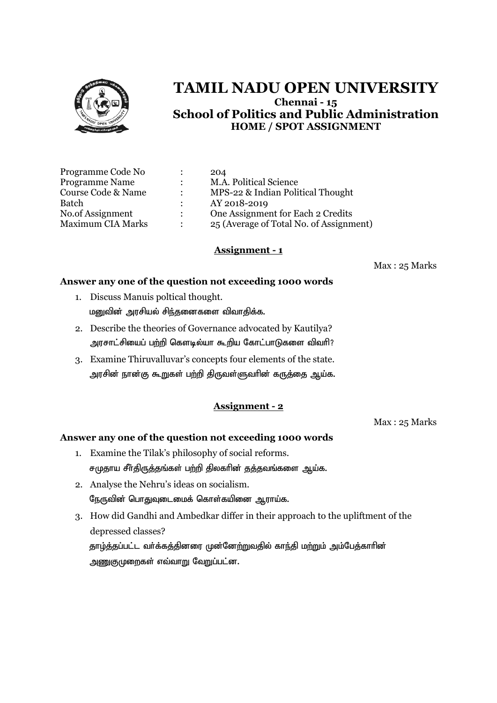

|               | 204                                     |
|---------------|-----------------------------------------|
| $\sim$ $\sim$ | M.A. Political Science                  |
|               | MPS-22 & Indian Political Thought       |
|               | AY 2018-2019                            |
|               | One Assignment for Each 2 Credits       |
|               | 25 (Average of Total No. of Assignment) |
|               |                                         |

#### **Assignment - 1**

Max : 25 Marks

#### **Answer any one of the question not exceeding 1000 words**

- 1. Discuss Manuis poltical thought. மனுவின் அரசியல் சிந்தனைகளை விவாகிக்க.
- 2. Describe the theories of Governance advocated by Kautilya? அரசாட்சியைப் பற்றி கௌடில்யா கூறிய கோட்பாடுகளை விவரி?
- 3. Examine Thiruvalluvar's concepts four elements of the state. அரசின் நான்கு கூறுகள் பற்றி திருவள்ளுவாின் கருத்தை ஆய்க.

## **Assignment - 2**

Max : 25 Marks

- 1. Examine the Tilak's philosophy of social reforms. சமுதாய சீர்திருத்தங்கள் பற்றி திலகரின் தத்தவங்களை ஆய்க.
- 2. Analyse the Nehru's ideas on socialism. நேருவின் பொதுவுடைமைக் கொள்கயினை ஆராய்க.
- 3. How did Gandhi and Ambedkar differ in their approach to the upliftment of the depressed classes? தாழ்த்தப்பட்ட வர்க்கத்தினரை முன்னேற்றுவதில் காந்தி மற்றும் அம்பேத்காரின் அணுகுமுறைகள் எவ்வாறு வேறுப்பட்ன.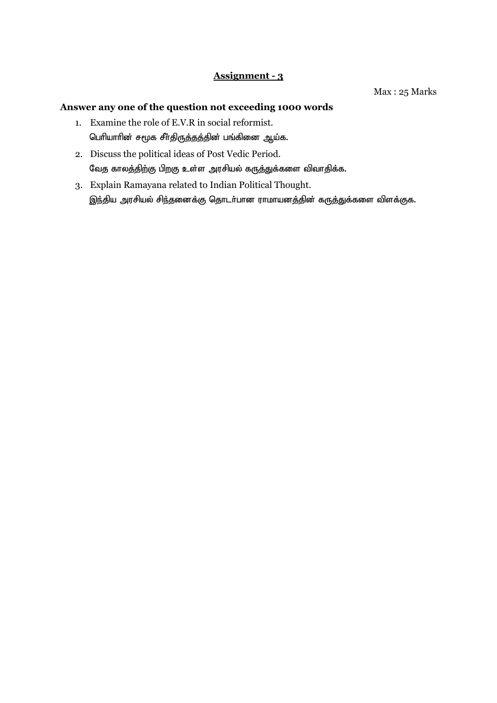Max : 25 Marks

- 1. Examine the role of E.V.R in social reformist. பெரியாரின் சமூக சீர்திருத்தத்தின் பங்கினை ஆய்க.
- 2. Discuss the political ideas of Post Vedic Period. வேத காலத்திற்கு பிறகு உள்ள அரசியல் கருத்துக்களை விவாதிக்க.
- 3. Explain Ramayana related to Indian Political Thought. இந்திய அரசியல் சிந்தனைக்கு தொடர்பான ராமாயனத்தின் கருத்துக்களை விளக்குக.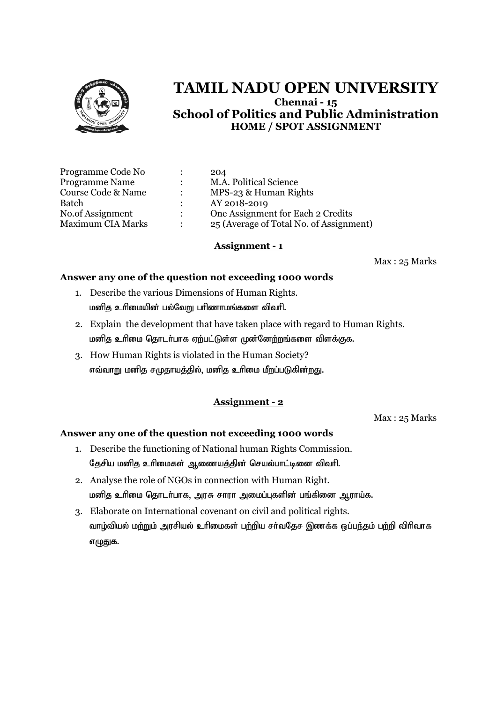

| Programme Code No        | 204                                     |
|--------------------------|-----------------------------------------|
| <b>Programme Name</b>    | M.A. Political Science                  |
| Course Code & Name       | MPS-23 & Human Rights                   |
| <b>Batch</b>             | AY 2018-2019                            |
| No.of Assignment         | One Assignment for Each 2 Credits       |
| <b>Maximum CIA Marks</b> | 25 (Average of Total No. of Assignment) |

#### **Assignment - 1**

Max : 25 Marks

#### **Answer any one of the question not exceeding 1000 words**

- 1. Describe the various Dimensions of Human Rights. மனித உரிமையின் பல்வேறு பரிணாமங்களை விவரி.
- 2. Explain the development that have taken place with regard to Human Rights. மனித உரிமை தொடர்பாக ஏற்பட்டுள்ள முன்னேற்றங்களை விளக்குக.
- 3. How Human Rights is violated in the Human Society? எவ்வாறு மனித சமுதாயத்தில், மனித உரிமை மீறப்படுகின்<u>றத</u>ு.

#### **Assignment - 2**

Max : 25 Marks

- 1. Describe the functioning of National human Rights Commission. தேசிய மனித உரிமைகள் ஆணையத்தின் செயல்பாட்டினை விவரி.
- 2. Analyse the role of NGOs in connection with Human Right. மனித உரிமை தொடர்பாக, அரசு சாரா அமைப்புகளின் பங்கினை ஆராய்க.
- 3. Elaborate on International covenant on civil and political rights. வாழ்வியல் மற்றும் அரசியல் உரிமைகள் பற்றிய சர்வதேச இணக்க ஒப்பந்தம் பற்றி விரிவாக எழுதுக.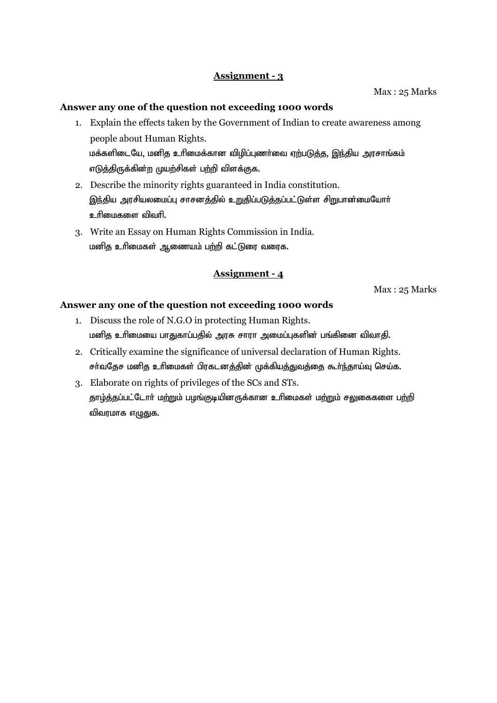Max : 25 Marks

#### **Answer any one of the question not exceeding 1000 words**

- 1. Explain the effects taken by the Government of Indian to create awareness among people about Human Rights. மக்களிடையே, மனித உரிமைக்கான விழிப்புணர்வை ஏற்படுத்த, இந்திய அரசாங்கம் எடுத்திருக்கின்ற முயற்சிகள் பற்றி விளக்குக.
- 2. Describe the minority rights guaranteed in India constitution. இந்திய அரசியலமைப்பு சாசனத்தில் உறுதிப்படுத்தப்பட்டுள்ள சிறுபான்மையோர் உரிமைகளை விவரி.
- 3. Write an Essay on Human Rights Commission in India. மனித உரிமைகள் ஆணையம் பற்றி கட்டுரை வரைக.

#### **Assignment - 4**

Max : 25 Marks

- 1. Discuss the role of N.G.O in protecting Human Rights. மனித உரிமையை பாதுகாப்பதில் அரசு சாரா அமைப்புகளின் பங்கினை விவாதி.
- 2. Critically examine the significance of universal declaration of Human Rights. சர்வதேச மனித உரிமைகள் பிரகடனத்தின் முக்கியத்துவத்தை கூர்ந்தாய்வு செய்க.
- 3. Elaborate on rights of privileges of the SCs and STs. தாழ்த்தப்பட்டோர் மற்றும் பழங்குடியினருக்கான உரிமைகள் மற்றும் சலுகைகளை பற்றி விவரமாக எழுதுக.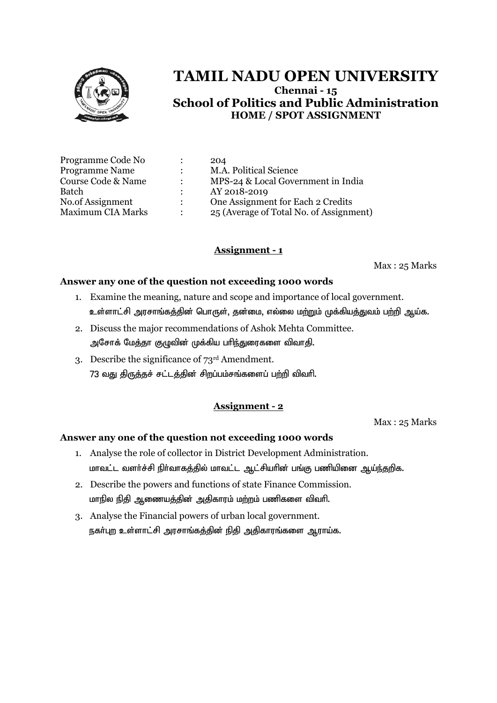

| Programme Code No        |                      | 204                                     |
|--------------------------|----------------------|-----------------------------------------|
| <b>Programme Name</b>    | $\ddot{\phantom{a}}$ | M.A. Political Science                  |
| Course Code & Name       | $\ddot{\phantom{a}}$ | MPS-24 & Local Government in India      |
| Batch                    |                      | AY 2018-2019                            |
| No.of Assignment         | $\mathbb{R}$         | One Assignment for Each 2 Credits       |
| <b>Maximum CIA Marks</b> | $\ddot{\phantom{a}}$ | 25 (Average of Total No. of Assignment) |

## **Assignment - 1**

Max : 25 Marks

#### **Answer any one of the question not exceeding 1000 words**

- 1. Examine the meaning, nature and scope and importance of local government. உள்ளாட்சி அரசாங்கத்தின் பொருள். தன்மை, எல்லை மற்றும் முக்கியத்துவம் பற்றி ஆய்க.
- 2. Discuss the major recommendations of Ashok Mehta Committee. அசோக் மேத்தா குழுவின் முக்கிய பரிந்துரைகளை விவாதி.
- 3. Describe the significance of 73rd Amendment. 73 வது திருத்தச் சட்டத்தின் சிறப்பம்சங்களைப் பற்றி விவரி.

### **Assignment - 2**

Max : 25 Marks

- 1. Analyse the role of collector in District Development Administration. மாவட்ட வளர்ச்சி நிர்வாகத்தில் மாவட்ட ஆட்சியரின் பங்கு பணியினை ஆய்ந்தறிக.
- 2. Describe the powers and functions of state Finance Commission. மாநில நிதி ஆணையத்தின் அதிகாரம் மற்றம் பணிகளை விவரி.
- 3. Analyse the Financial powers of urban local government. நகா்புற உள்ளாட்சி அரசாங்கத்தின் நிதி அதிகாரங்களை ஆராய்க.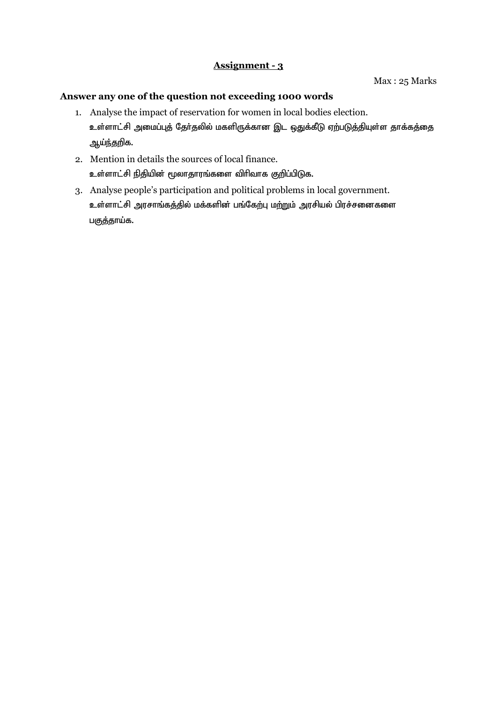- 1. Analyse the impact of reservation for women in local bodies election. உள்ளாட்சி அமைப்புத் தேர்தலில் மகளிருக்கான இட ஒதுக்கீடு ஏற்படுத்தியுள்ள தாக்கத்தை ஆய்ந்தறிக.
- 2. Mention in details the sources of local finance. உள்ளாட்சி நிதியின் மூலாதாரங்களை விரிவாக குறிப்பிடுக.
- 3. Analyse people's participation and political problems in local government. உள்ளாட்சி அரசாங்கத்தில் மக்களின் பங்கேற்பு மற்றும் அரசியல் பிரச்சனைகளை பகுத்தாய்க.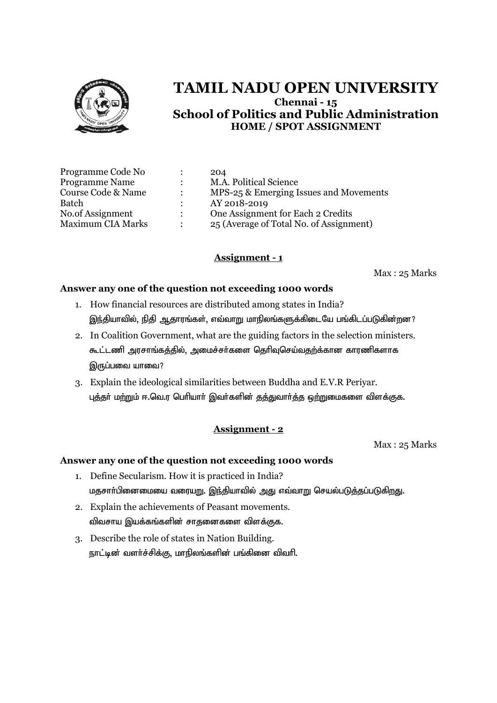

| 204                                     |
|-----------------------------------------|
| M.A. Political Science                  |
| MPS-25 & Emerging Issues and Movements  |
| AY 2018-2019                            |
| One Assignment for Each 2 Credits       |
| 25 (Average of Total No. of Assignment) |
|                                         |

## **Assignment - 1**

Max : 25 Marks

### **Answer any one of the question not exceeding 1000 words**

- 1. How financial resources are distributed among states in India? இந்தியாவில், நிதி ஆதாரங்கள், எவ்வாறு மாநிலங்களுக்கிடையே பங்கிடப்படுகின்றன?
- 2. In Coalition Government, what are the guiding factors in the selection ministers. கூட்டணி அரசாங்கத்தில், அமைச்சர்களை தெரிவுசெய்வதற்க்கான காரணிகளாக இருப்பவை யாவை?
- 3. Explain the ideological similarities between Buddha and E.V.R Periyar. புத்தர் மற்றும் ஈ.வெ.ர பெரியார் இவர்களின் தத்துவார்த்த ஒற்றுமைகளை விளக்குக.

## **Assignment - 2**

Max : 25 Marks

- 1. Define Secularism. How it is practiced in India? மதசார்பினைமையை வரையறு. இந்தியாவில் அது எவ்வாறு செயல்படுத்தப்படுகிறது.
- 2. Explain the achievements of Peasant movements. விவசாய இயக்கங்களின் சாதனைகளை விளக்குக.
- 3. Describe the role of states in Nation Building. நாட்டின் வளர்ச்சிக்கு, மாநிலங்களின் பங்கினை விவரி.